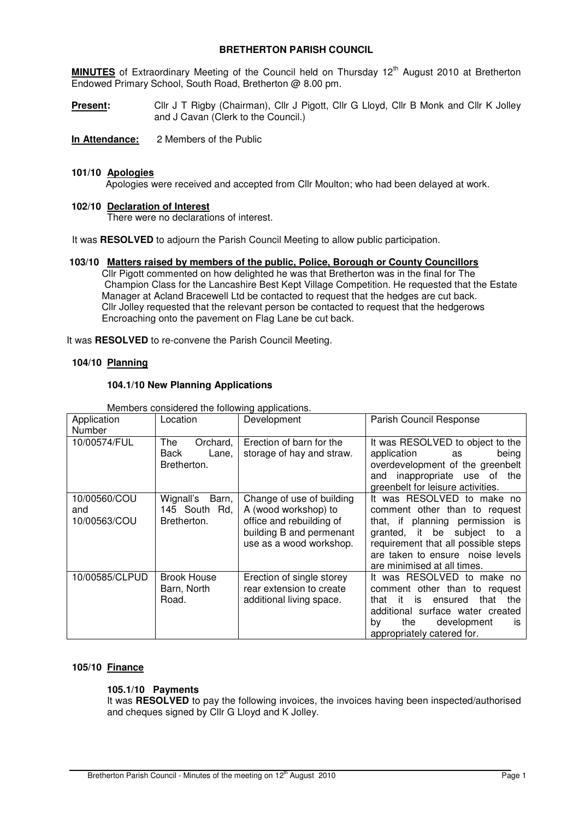## **BRETHERTON PARISH COUNCIL**

MINUTES of Extraordinary Meeting of the Council held on Thursday 12<sup>th</sup> August 2010 at Bretherton Endowed Primary School, South Road, Bretherton @ 8.00 pm.

Present: Cllr J T Rigby (Chairman), Cllr J Pigott, Cllr G Lloyd, Cllr B Monk and Cllr K Jolley and J Cavan (Clerk to the Council.)

**In Attendance:** 2 Members of the Public

### **101/10 Apologies**

Apologies were received and accepted from Cllr Moulton; who had been delayed at work.

## **102/10 Declaration of Interest**

There were no declarations of interest.

It was **RESOLVED** to adjourn the Parish Council Meeting to allow public participation.

### **103/10 Matters raised by members of the public, Police, Borough or County Councillors**

 Cllr Pigott commented on how delighted he was that Bretherton was in the final for The Champion Class for the Lancashire Best Kept Village Competition. He requested that the Estate Manager at Acland Bracewell Ltd be contacted to request that the hedges are cut back. Cllr Jolley requested that the relevant person be contacted to request that the hedgerows Encroaching onto the pavement on Flag Lane be cut back.

It was **RESOLVED** to re-convene the Parish Council Meeting.

### **104/10 Planning**

### **104.1/10 New Planning Applications**

| Application<br>Number               | Location                                           | Development                                                                                                                          | Parish Council Response                                                                                                                                                                                                                 |  |
|-------------------------------------|----------------------------------------------------|--------------------------------------------------------------------------------------------------------------------------------------|-----------------------------------------------------------------------------------------------------------------------------------------------------------------------------------------------------------------------------------------|--|
| 10/00574/FUL                        | The<br>Orchard,<br>Back<br>Lane,<br>Bretherton.    | Erection of barn for the<br>storage of hay and straw.                                                                                | It was RESOLVED to object to the<br>application<br>being<br>as<br>overdevelopment of the greenbelt<br>inappropriate use of the<br>and<br>greenbelt for leisure activities.                                                              |  |
| 10/00560/COU<br>and<br>10/00563/COU | Wignall's<br>Barn,<br>145 South Rd,<br>Bretherton. | Change of use of building<br>A (wood workshop) to<br>office and rebuilding of<br>building B and permenant<br>use as a wood workshop. | It was RESOLVED to make no<br>comment other than to request<br>that, if planning permission is<br>granted, it be subject to a<br>requirement that all possible steps<br>are taken to ensure noise levels<br>are minimised at all times. |  |
| 10/00585/CLPUD                      | <b>Brook House</b><br>Barn, North<br>Road.         | Erection of single storey<br>rear extension to create<br>additional living space.                                                    | It was RESOLVED to make no<br>comment other than to request<br>it is<br>ensured<br>that<br>the<br>that<br>additional surface water created<br>development<br>the<br>by<br>İS<br>appropriately catered for.                              |  |

Members considered the following applications.

# **105/10 Finance**

### **105.1/10 Payments**

It was **RESOLVED** to pay the following invoices, the invoices having been inspected/authorised and cheques signed by Cllr G Lloyd and K Jolley.